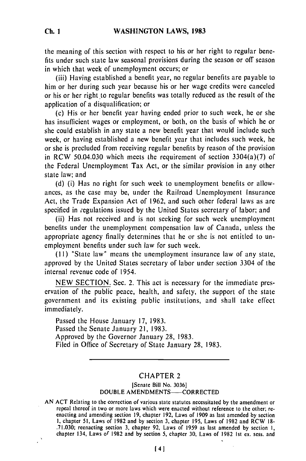the meaning of this section with respect to his or her right to regular benefits under such state law seasonal provisions during the season or off season in which that week of unemployment occurs; or

(iii) Having established a benefit year, no regular benefits are payable to him or her during such year because his or her wage credits were canceled or his or her right to regular benefits was totally reduced as the result of the application of a disqualification; or

(c) His or her benefit year having ended prior to such week, he or she has insufficient wages or employment, or both, on the basis of which he or she could establish in any state a new benefit year that would include such week, or having established a new benefit year that includes such week, he or she is precluded from receiving regular benefits by reason of the provision in RCW 50.04.030 which meets the requirement of section 3304(a)(7) of the Federal Unemployment Tax Act, or the similar provision in any other state law; and

(d) (i) Has no right for such week to unemployment benefits or allowances, as the case may be, under the Railroad Unemployment Insurance Act, the Trade Expansion Act of 1962, and such other federal laws as are specified in regulations issued by the United States secretary of labor; and

(ii) Has not received and is not seeking for such week unemployment benefits under the unemployment compensation law of Canada, unless the appropriate agency finally determines that he or she is not entitled to unemployment benefits under such law for such week.

**(II)** "State law" means the unemployment insurance law of any state, approved by the United States secretary of labor under section 3304 of the internal revenue code of 1954.

NEW SECTION. Sec. 2. This act is necessary for the immediate preservation of the public peace, health, and safety, the support of the state government and its existing public institutions, and shall take effect immediately.

Passed the House January 17, 1983. Passed the Senate January 21, 1983. Approved by the Governor January 28, 1983. Filed in Office of Secretary of State January 28, 1983.

## CHAPTER 2

### [Senate Bill No. **3036]** DOUBLE AMENDMENTS-CORRECTED

AN ACT Relating to the correction of various state statutes necessitated by the amendment or  $t \rightarrow t$ repeat there is the correction or various state statutes necessitated by the amendment of repeat thereof in two or more laws which were enacted without reference to the other, re- $\mu$  about 51, Laws of 1982 and by section 3, chapter 1964. Laws of 1909 as a statement of  $\mu$  is  $\mu$ .71.030; reenacting section 3, chapter **92,** Laws of **1959** as last amended by section I, chapter 134, Laws or 1982 and by section 5, chapter **30,** Laws of 1982 Ist ex. sess. and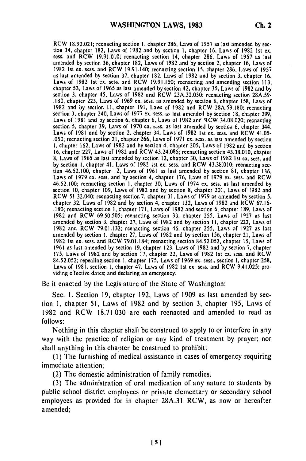RCW **18.92.021;** reenacting section **I,** chapter **286,** Laws of **1957** as last amended **by** sec tion 34, chapter **182,** Laws of **1982** and **by** section **1,** chapter **16,** Laws of **1982** 1st ex. sess. and RCW 19.91.010; reenacting section 14, chapter 286, Laws of **1957** as last amended **by** section **36,** chapter **182,** Laws of **1982** and **by** section 2, chapter **16,** Laws of 1982 **1st** ex. sess. and RCW 19.91.140; reenacting section **15,** chapter **286,** Laws of **1957** as last amended **by** section **37,** chapter **182,** Laws of 1982 and **by** section **3,** chapter **16,** Laws of **1982 Ist** ex. sess. and RCW 19.91.150; reenacting and amending section **113,** chapter **53,** Laws of 1965 as last amended **by** section 42, chapter **35,** Laws of 1982 and **by** section **3,** chapter 45, Laws of 1982 and RCW 23A.32.050; reenacting section **28A.59- .180,** chapter **223,** Laws of 1969 ex. sess. as amended by section **6,** chapter **158,** Laws of 1982 and **by** section **II,** chapter **191,** Laws of **1982** and RCW 28A.59.180; reenacting section **3,** chapter 240, Laws of **1977** ex. sess. as last amended **by** section **18,** chapter **299,** Section 5, enapter 240, Laws of 1977 ex. sess. as last amended by section 16, enapter 299,<br>Laws of 1981 and by section 6, chapter 6, Laws of 1982 and RCW 34.08.020; reenacting Laws of **1981** and **by** section 2, chapter 34, Laws of 1982 1st **ex.** sess. and RCW 41.05- .050; reenacting section 21, chapter **266,** Laws of **1971 ex.** sess. as last amended **by** section **1,** chapter 162, Laws of 1982 and **by** section 4, chapter 205, Laws of, 1982 and **by** section **16,** chapter 227, Laws of **1982** and RCW 43.24.085; reenacting section **43.38.010,** chapter **8,** Laws of **1965** as last amended **by** section 12, chapter **30,** Laws of 1982 **Ist** ex. sess. and **by** section **I,** chapter 41, Laws of 1982 Ist ex. sess. and RCW 43.38'010; reenacting section 46.52.100, chapter 12, Laws of **1961** as last amended **by** section **81,** chapter **136,** Laws of **1979** ex. sess. and **by** section 4, chapter **176,** Laws of 1979 **ex.** sess. and RCW 46.52.100; reenacting section **1,** chapter **30,** Laws of 1974 **ex.** sess. as last amended **by** section **10,** chapter **109,** Laws of 1982 and **by** section **8,** chapter 201, Laws of 1982 and section 10, chapter 109, Laws of 1982 and by section 8, chapter 201, Laws of 1982 and RCW 51.32.040; reenacting section 7, chapter 31, Laws of 1979 as amended by section 5, .180; reenacting section **1,** chapter **171,** Laws of **1982** and section **6,** chapter 189, Laws of 1982 and RCW 69.50.505; reenacting section **33,** chapter **255,** Laws of **1927** as last amended **by** section **3,** chapter 27, Laws of 1982 and **by** section **11,** chapter 222, Laws of 1982 and RCW 79.01.132; reenacting section 46, chapter **255,** Laws of **1927** as last amended **by** section **I,** chapter **27,** Laws of 1982 and **by** section **156,** chapter 21, Laws of 1982 Ist **ex.** sess. and RCW 79.01.184; reenacting section 84.52.052, chapter **15,** Laws of **<sup>1961</sup>**as last amended **by** section **19,** chapter **123,** Laws of **1982** and **by** section **7,** chapter **175,** Laws of 1982 and **by** section **17,** chapter 22, Laws of **1982 Ist ex.** sess. and RCW 84.52.052; repealing section **1,** chapter **175,** Laws of 1969 **ex.** sess., section **I,** chapter **258,** Laws of **1981,** section **I,** chapter 47, Laws of **1982 1st** ex. sess. and RCW 9.41.025; providing effective dates; and declaring an emergency.

Be it enacted **by** the Legislature of the State of Washington:

Sec. I. Section 19, chapter 192, Laws of 1909 as last amended by section 1, chapter 51, Laws of 1982 and by section 3, chapter 195, Laws of 1982 and RCW 18.71.030 are each reenacted and amended to read as follows:

Nothing in this chapter shall be construed to apply to or interfere in any way with the practice of religion or any kind of treatment by prayer; nor shall anything in this chapter be construed to prohibit:

**(I)** The furnishing of medical assistance in cases of emergency requiring immediate attention;

(2) The domestic administration of family remedies;

(3) The administration of oral medication of any nature to students by public school district employees or private elementary or secondary school employees as provided for in chapter 28A.31 RCW, as now or hereafter amended;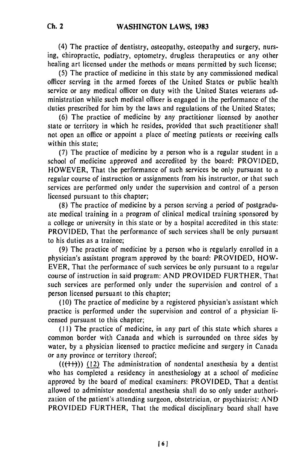(4) The practice of dentistry, osteopathy, osteopathy and surgery, nursing, chiropractic, podiatry, optometry, drugless therapeutics or any other healing art licensed under the methods or means permitted by such license;

(5) The practice of medicine in this state by any commissioned medical officer serving in the armed forces of the United Statcs or public health service or any medical officer on duty with the United States veterans administration while such medical officer is engaged in the performance of the duties prescribed for him by the laws and regulations of the United States;

(6) The practice of medicine by any practitioner licensed by another state or territory in which he resides, provided that such practitioner shall not open an office or appoint a place of meeting patients or receiving calls within this state;

(7) The practice of medicine by a person who is a regular student in a school of medicine approved and accredited by the board: PROVIDED, HOWEVER, That the performance of such services be only pursuant to a regular course of instruction or assignments from his instructor, or that such services are performed only under the supervision and control of a person licensed pursuant to this chapter;

(8) The practice of medicine by a person serving a period of postgraduate medical training in a program of clinical medical training sponsored by a college or university in this state or by a hospital accredited in this state: PROVIDED, That the performance of such services shall be only pursuant to his duties as a trainee;

(9) The practice of medicine by a person who is regularly enrolled in a physician's assistant program approved by the board: PROVIDED, HOW-EVER, That the performance of such services be only pursuant to a regular course of instruction in said program: AND PROVIDED FURTHER, That such services are performed only under the supervision and control of a person licensed pursuant to this chapter;

(10) The practice of medicine by a registered physician's assistant which practice is performed under the supervision and control of a physician licensed pursuant to this chapter;

**(11)** The practice of medicine, in any part of this state which shares a common border with Canada and which is surrounded on three sides by water, by a physician licensed to practice medicine and surgery in Canada or any province or territory thereof;

 $((+1))$  (12) The administration of nondental anesthesia by a dentist who has completed a residency in anesthesiology at a school of medicine approved by the board of medical examiners: PROVIDED, That a dentist allowed to administer nondental anesthesia shall do so only under authorization of the patient's attending surgeon, obstetrician, or psychiatrist: AND PROVIDED FURTHER, That the medical disciplinary board shall have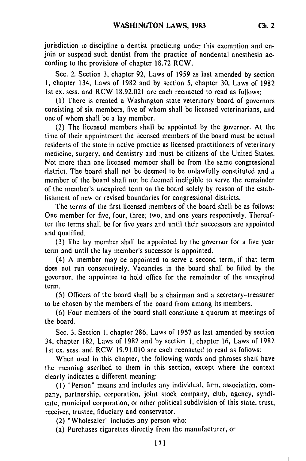jurisdiction to discipline a dentist practicing under this exemption and enjoin or suspend such dentist from the practice of nondental anesthesia according to the provisions of chapter 18.72 RCW.

Sec. 2. Section 3, chapter 92, Laws of 1959 as last amended by section **1,** chapter 134, Laws of 1982 and by section 5, chapter 30, Laws of 1982 ist ex. sess. and RCW 18.92.021 are each reenacted to read as follows:

**(1)** There is created a Washington state veterinary board of governors consisting of six members, five of whom shall be licensed veterinarians, and one of whom shall be a lay member.

(2) The licensed members shall be appointed by the governor. At the time of their appointment the licensed members of the board must be actual residents of the state in active practice as licensed practitioners of veterinary medicine, surgery, and dentistry and must be citizens of the United States. Not more than one licensed member shall be from the same congressional district. The board shall not be deemed to be unlawfully constituted and a member of the board shall not be deemed ineligible to serve the remainder of the member's unexpired term on the board solely by reason of the establishment of new or revised boundaries for congressional districts.

The terms of the first licensed members of the board shell be as follows: One member for five, four, three, two, and one years respectively. Thereafter the terms shall be for five years and until their successors are appointed and qualified.

(3) The lay member shall be appointed by the governor for a five year term and until the lay member's successor is appointed.

(4) A member may be appointed to serve a second term, if that term does not run consecutively. Vacancies in the board shall be filled by the governor, the appointee to hold office for the remainder of the unexpired term.

(5) Officers of the board shall be a chairman and a secretary-treasurer to be chosen by the members of the board from among its members.

(6) Four members of the board shall constitute a quorum at meetings of the board.

Sec. 3. Section 1, chapter 286, Laws of 1957 as last amended by section 34, chapter 182, Laws of 1982 and by section 1, chapter 16, Laws of 1982 Ist ex. sess. and RCW 19.91.010 are each reenacted to read as follows:

When used in this chapter, the following words and phrases shall have the meaning ascribed to them in this section, except where the context clearly indicates a different meaning:

(I) "Person" means and includes any individual, firm, association, company, partnership, corporation, joint stock company, club, agency, syndicate, municipal corporation, or other political subdivision of this state, trust, receiver, trustee, fiduciary and conservator.

(2) "Wholesaler" includes any person who:

(a) Purchases cigarettes directly from the manufacturer, or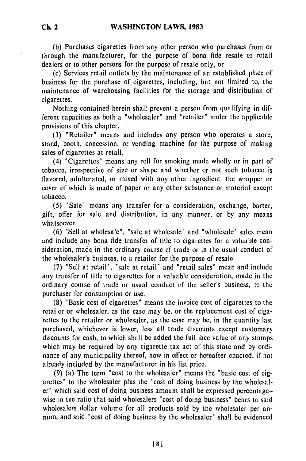**(b)** Purchases cigarettes from any other person who purchases from or **through** the manufacturer, for the purpose of bona fide resale to retail dealers or to other persons for the purpose of resale only, or

(c) Services retail outlets **by** the maintenance of an established place of business for the purchase of cigarettes, including, but not limited to, the maintenance of warehousing facilities for the storage and distribution of cigarettes.

Nothing contained herein shall prevent a person from qualifying in different capacities as both a "wholesaler" and "retailer" tinder the applicable provisions of this chapter.

**(3)** "Retailer" means and includes any person who operates a store, stand, booth, concession, or vending machine for the purpose of making sales of cigarettes at retail.

(4) "Cigarettes" means any roll for smoking made wholly or in part of tobacco, irrespective of size or shape and whether or not such tobacco is flavored, adulterated, or mixed with any other ingredient, the wrapper or cover of which is made of paper or any other substance or material except tobacco.

**(5)** "Sale" means any transfer for a consideration, exchange, barter, gift, offer for sale and distribution, in any manner, or **by** any means whatsoever.

**(6)** "Sell at wholesale", "sale at wholesale" and "wholesale" sales mean and include any bona fide transfet of title to cigarettes for a valuable consideration, made in the ordinary course of trade or in the usual conduct of the wholesaler's business, to a retailer for the purpose of resale.

(7) "Sell at retail", "sale at retail" and "retail sales" mean and include any transfer of title to cigarettes for a valuable consideration, made in the ordinary course of trade or usual conduct of the seller's business, to the purchaser for consumption or use.

(8) "Basic cost of cigarettes" means the invoice cost of cigarettes to the retailer or wholesaler, as the case may **be,** or the replacement cost of cigarettes to the retailer or wholesaler, as the case may be, in the quantity last purchased, whichever is lower, less all trade discounts except customary discounts for cash, to which shall be added the full face value of any stamps which may be required by any cigarette tax act of this state and by ordinance of any municipality thereof, now in effect or hereafter enacted, if not already included by the manufacturer in his list price.

(9) (a) The term "cost to the wholesaler" means the "basic cost of cigarettes" to the wholesaler plus the "cost of doing business by the wholesaler" which said cost of doing business amount shall be expressed percentagewise in the ratio that said wholesalers "cost of doing business" bears to said wholesalers dollar volume for all products sold by the wholesaler per annum, and said "cost of doing business by the wholesaler" shall be evidenced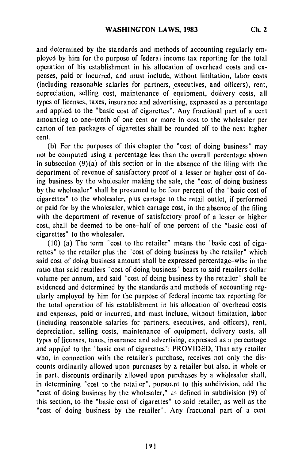and determined by the standards and methods of accounting regularly employed by him for the purpose of federal income tax reporting for the total operation of his establishment in his allocation of overhead costs and expenses, paid or incurred, and must include, without limitation, labor costs (including reasonable salaries for partners, executives, and officers), rent, depreciation, selling cost, maintenance of equipment, delivery costs, all types of licenses, taxes, insurance and advertising, expressed as a percentage and applied to the "basic cost of cigarettes". Any fractional part of a cent amounting to one-tenth of one cent or more in cost to the wholesaler per carton of ten packages of cigarettes shall be rounded off to the next higher cent.

**(b)** For the purposes of this chapter the "cost of doing business" may not be computed using a percentage less than the overall percentage shown in subsection (9)(a) of this section or in the absence of the filing with the department of revenue of satisfactory proof of a lesser or higher cost of doing business by the wholesaler making the sale, the "cost of doing business by the wholesaler" shall be presumed to be four percent of the "basic cost of cigarettes" to the wholesaler, plus cartage to the retail outlet, if performed or paid for by the wholesaler, which cartage cost, in the absence of the filing with the department of revenue of satisfactory proof of a lesser or higher cost, shall be deemed to be one-half of one percent of the "basic cost of cigarettes" to the wholesaler.

(10) (a) The term "cost to the retailer" means the "basic cost of cigarettes" to the retailer plus the "cost of doing business by the retailer" which said cost of doing business amount shall be expressed percentage-wise in the ratio that said retailers "cost of doing business" bears to said retailers dollar volume per annum, and said "cost of doing business by the retailer" shall be evidenced and determined by the standards and methods of accounting regularly employed by him for the purpose of federal income tax reporting for the total operation of his establishment in his allocation of overhead costs and expenses, paid or incurred, and must include, without limitation, labor (including reasonable salaries for partners, executives, and officers), rent, depreciation, selling costs, maintenance of equipment, delivery costs, all types of licenses, taxes, insurance and advertising, expressed as a percentage and applied to the "basic cost of cigarettes": PROVIDED, That any retailer who, in connection with the retailer's purchase, receives not only the discounts ordinarily allowed upon purcnases by a retailer but also, in whole or in part, discounts ordinarily allowed upon purchases by a wholesaler shall, in determining "cost to the retailer", pursuant to this subdivision, add the "cost of doing business by the wholesaler," as defined in subdivision (9) of this section, to the "basic cost of cigarettes" to said retailer, as well as the "cost of doing business by the retailer". Any fractional part of a cent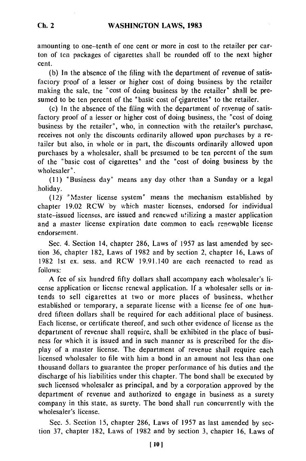amounting to one-tenth of one cent or more in cost to the retailer per carton of ten packages of cigarettes shall be rounded off to the next higher cent.

(b) In the absence of the filing with the department of revenue of satisfactory proof of a lesser or higher cost of doing business by the retailer making the sale, the "cost of doing business by the retailer" shall be presumed to be ten percent of the "basic cost of cigarettes" to the retailer.

(c) In the absence of the filing with the department of revenue of satisfactory proof of a lesser or higher cost of doing business, the "cost of doing business by the retailer", who, in connection with the retailer's purchase, receives not only the discounts ordinarily allowed upon purchases by a retailer but also, in whole or in part, the discounts ordinarily allowed upon purchases by a wholesaler, shall be presumed to be ten percent of the sum of the "basic cost of cigarettes" and the "cost of doing business by the wholesaler".

**(II)** "Business day" means any day other than a Sunday or a legal holiday.

 $(12)$  "Master license system" means the mechanism established by chapter 19.02 RCW by which master licenses, endorsed for individual state-issued licenses, are issued and renewed utilizing a master application and a master license expiration date common to each renewable license endorsement.

Sec. 4. Section 14, chapter 286, Laws of 1957 as last amended by section 36, chapter 182, Laws of 1982 and by section 2, chapter 16, Laws of 1982 1st ex. sess. and RCW 19.91.140 are each reenacted to read as follows:

A fee of six hundred fifty dollars shall accompany each wholesaler's license application or license renewal application. If a wholesaler sells or intends to sell cigarettes at two or more places of business, whether established or temporary, a separate license with a license fee of one hundred fifteen dollars shall be required for each additional place of business. Each license, or certificate thereof, and such other evidence of license as the department of revenue shall require, shall be exhibited in the place of business for which it is issued and in such manner as is prescribed for the display of a master license. The department of revenue shail require each licensed wholesaler to file with him a bond in an amount not less than one thousand dollars to guarantee the proper performance of his duties and the discharge of his liabilities under this chapter. The bond shall be executed by such licensed wholesaler as principal, and by a corporation approved by the department of revenue and authorized to engage in business as a surety company in this state, as surety. The bond shall run concurrently with the wholesaler's license.

Sec. 5. Section 15, chapter 286, Laws of 1957 as last amended by section 37, chapter 182, Laws of 1982 and by section 3, chapter 16, Laws of

**Ch. 2**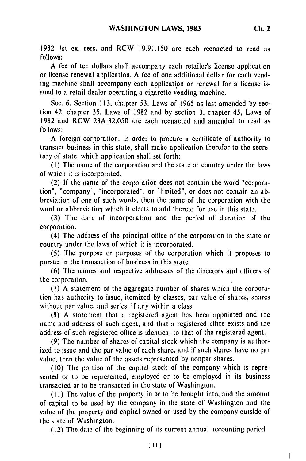1982 1st ex. sess. and RCW 19.91.150 are each reenacted to read as

follows: A fee of ten dollars shall accompany each retailer's license application or license renewal application. A fee of one additional dollar for each vending machine shall accompany each application or renewal for a license issued to a retail dealer operating a cigarette vending machine.

Sec. 6. Section 113, chapter 53, Laws of 1965 as last amended by section 42, chapter 35, Laws of 1982 and by section 3, chapter 45, Laws of 1982 and RCW 23A.32.050 are each reenacted and amended to read as follows:

A foreign corporation, in order to procure a certificate of authority to transact business in this state, shall make application therefor to the secretary of state, which application shall set forth:

(I) The name of the corporation and the state or country under the laws of which it is incorporated.

(2) If the name of the corporation does not contain the word "corporation", "company", "incorporated", or "limited", or does not contain an abbreviation of one of such words, then the name of the corporation with the word or abbreviation which it elects to add thereto for use in this state.

(3) The date of incorporation and the period of duration of the corporation.

(4) The address of the principal office of the corporation in the state or country under the laws of which it is incorporated.

(5) The purpose or purposes of the corporation which it proposes to pursue in the transaction of business in this state.

(6) The names and respective addresses of the directors and officers of the corporation.

(7) A statement of the aggregate number of shares which the corporation has authority to issue, itemized by classes, par value of shares, shares without par value, and series, if any within a class.

(8) A statement that a registered agent has been appointed and the name and address of such agent, and that a registered office exists and the address of such registered office is identical to that of the registered agent.

(9) The number of shares of capital stock which the company is authorized to issue and the par value of each share, and if such shares have no par value, then the value of the assets represented by nonpar shares.

(10) The portion of the capital stock of the company which is represented or to be represented, employed or to be employed in its business transacted or to be transacted in the state of Washington.

**(II)** The value of the property in or to be brought into, and the amount of capital to be used by the company in the state of Washington and the value of the property and capital owned or used by the company outside of the state of Washington.

(12) The date of the beginning of its current annual accounting period.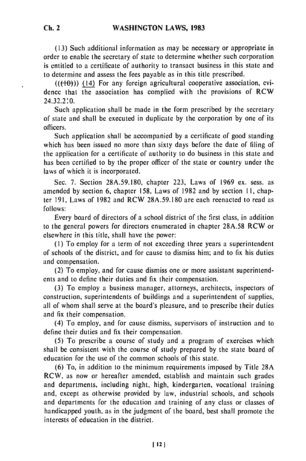**Ch. 2**

**(13)** Such additional information as may be necessary or appropriate in order to enable the secretary of state to determine whether such corporation is entitled to a certificate of authority to transact business in this state and to determine and assess the fees payable as in this title prescribed.

 $((+0))$  (14) For any foreign agricultural cooperative association, evidence that the association has complied with the provisions of RCW 24.32.2'0.

Such application shall be made in the form prescribed by the secretary of state and shall be executed in duplicate by the corporation by one of its officers.

Such application shall be accompanied by a certificate of good standing which has been issued no more than sixty days before the date of filing of the application for a certificate of authority to do business in this state and has been certified to by the proper officer of the state or country under the laws of which it is incorporated.

Sec. **7.** Section 28A.59.180, chapter 223, Laws of 1969 ex. sess. as amended by section 6, chapter 158, Laws of 1982 and by section **11,** chapter 191, Laws of 1982 and RCW 28A.59.180 are each reenacted to read as follows:

Every board of directors of a school district of the first class, in addition to the general powers for directors enumerated in chapter 28A.58 RCW or elsewhere in this title, shall have the power:

**(1)** To employ for a term of not exceeding three years a superintendent of schools of the district, and for cause to dismiss him; and to fix his duties and compensation.

(2) To employ, and for cause dismiss one or more assistant superintendents and to define their duties and fix their compensation.

(3) To employ a business manager, attorneys, architects, inspectors of construction, superintendents of buildings and a superintendent of supplies, all of whom shall serve at the board's pleasure, and to prescribe their duties and fix their compensation.

(4) To employ, and for cause dismiss, supervisors of instruction and to define their duties and fix their compensation.

(5) To prescribe a course of study and a program of exercises which shall be consistent with the course of study prepared by the state board of education for the use of the common schools of this state.

(6) To, in addition to the minimum requirements imposed by Title 28A RCW, as now or hereafter amended, establish and maintain such grades and departments, including night, high, kindergarten, vocational training and, except as otherwise provided by law, industrial schools, and schools and departments for the education and training of any class or classes of handicapped youth, as in the judgment of the board, best shall promote the interests of education in the district.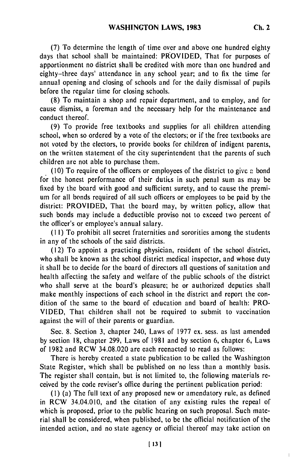**(7)** To determine the length of time over and above one hundred eighty days that school shall be maintained: PROVIDED, That for purposes of apportionment no district shall be credited with more than one hundred and eighty-three days' attendance in any school year; and to fix the time for annual opening and closing of schools and for the daily dismissal of pupils before the regular time for closing schools.

(8) To maintain a shop and repair department, and to employ, and for cause dismiss, a foreman and the necessary help for the maintenance and conduct thereof.

(9) To provide free textbooks and supplies for all children attending school, when so ordered by a vote of the electors; or if the free textbooks are not voted by the electors, to provide books for children of indigent parents, on the written statement of the city superintendent that the parents of such children are not able to purchase them.

(10) To require of the officers or employees of the district to givc **-** bond for the honest performance of their duties in such penal sum as may be fixed by the board with good and sufficient surety, and to cause the premium for all bonds required of all such officers or employees to be paid by the district: PROVIDED, That the board may, by written policy, allow that such bonds may include a deductible proviso not to exceed two percent of the officer's or employee's annual salary.

**(I** I) To prohibit all secret fraternities and sororities among the students in any of the schools of the said districts.

(12) To appoint a practicing physician, resident of the school district, who shall be known as the school district medical inspector, and whose duty it shall be to decide for the board of directors all questions of sanitation and health affecting the safety and welfare of the public schools of the district who shall serve at the board's pleasure; he or authorized deputies shall make monthly inspections of each school in the district and report the condition of the same to the board of education and board of health: PRO-VIDED, That children shall not be required to submit to vaccination against the will of their parents or guardian.

Sec. 8. Section 3, chapter 240, Laws of 1977 ex. sess. as last amended by section 18, chapter 299, Laws of 1981 and by section 6, chapter 6, Laws of 1982 and RCW 34.08.020 are each reenacted to read as follows:

There is hereby created a state publication to be called the Washington State Register, which shall be published on no less than a monthly basis. The register shall contain, but is not limited to, the following materials received by the code reviser's office during the pertinent publication period:

**(1)** (a) The full text of any proposed new or amendatory rule, as defined in RCW 34.04.010, and the citation of any existing rules the repeal of which is proposed, prior to the public hearing on such proposal. Such material shall be considered, when published, to be the official notification of the intended action, and no state agency or official thereof may take action on

 $\overline{1}$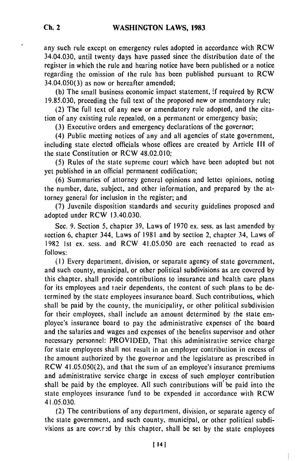any such rule except on emergency rules adopted in accordance with RCW 34.04.030, until twenty days have passed since the distribution date of the register in which the rule and hearing notice have been published or a notice regarding the omission of the rule has been published pursuant to RCW 34.04.050(3) as now or hereafter amended;

(b) The small business economic impact statement, **if** required by RCW 19.85.030, preceding the full text of the proposed new or amendatory rule;

(2) The full text of any new or amendatory rule adopted, and the citation of any existing rule repealed, on a permanent or emergency basis;

(3) Executive orders and emergency declarations of the governor;

(4) Public meeting notices of any and all agencies of state government, including state elected officials whose offices are created by Article **III** of the state Constitution or RCW 48.02.010;

(5) Rules of the state supreme court which have been adopted but not yet published in an official permanent codification;

(6) Summaries of attorney general opinions and lettei opinions, noting the number, date, subject, and other information, and prepared by the attorney general for inclusion in the register; and

(7) Juvenile disposition standards and security guidelines proposed and adopted under RCW 13.40.030.

Sec. 9. Section 5, chapter 39, Laws of 1970 ex. sess. as last amended by section 6, chapter 344, Laws of 1981 and by section 2, chapter 34, Laws of 1982 Ist ex. sess. and RCW 41.05.050 are each reenacted to read as follows:

(I) Every department, division, or separate agency of state government, and such county, municipal, or other political subdivisions as are covered by this chapter, shall provide contributions to insurance and health care plans for its employees and taeir dependents, the content of such plans to be determined by the state employees insurance board. Such contributions, which shall be paid by the county, the municipality, or other political subdivision for their employees, shall include an amount determined by the state employee's insurance board to pay the administrative expenses of the board and the salaries and wages and expenses of the benefits supervisor and other necessary personnel: PROVIDED, That this administrative service charge for state employees shall not result in an employer contribution in excess of the amount authorized by the governor and the legislature as prescribed in RCW 41.05.050(2), and that the sum of an employee's insurance premiums and administrative service charge in excess of such employer contribution shall be paid by the employee. All such contributions will be paid into the state employees insurance fund to be expended in accordance with RCW 41.05.030.

(2) The contributions of any department, division, or separate agency of the state government, and such county, municipal, or other political subdivisions as are covcr-d by this chapter, shall be set by the state employees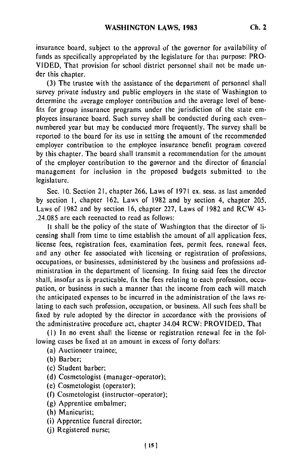insurance board, subject to the approval of the governor for availability of funds as specifically appropriated by the legislature for that purpose: PRO-VIDED, That provision for school district personnel shall not be made under this chapter.

(3) The trustee with the assistance of the department of personnel shall survey private industry and public employers in the state of Washington to determine the average employer contribution and the average level of benefits for group insurance programs under the jurisdiction of the state employees insurance board. Such survey shall be conducted during each evennumbered year but may **be** conducted more frequently. The survey shall be reported to the board for its use in setting the amount of the recommended employer contribution to the employee insurance benefit program covered by this chapter. The board shall transmit a recommendation for the amount of the employer contribution to the governor and the director of financial management for inclusion in the proposed budgets submitted to the legislature.

Sec. 10. Section 21, chapter 266, Laws of 1971 ex. sess. as last amended by section **1,** chapter 162, Laws of 1982 and by section 4, chapter 205, Laws of 1982 and by section 16, chapter 227, Laws of 1982 and RCW 43- .24.085 are each reenacted to read as follows:

It shall be the policy of the state of Washington that the director of licensing shall from time to time establish the amount of all application fees, license fees, registration fees, examination fees, permit fees, renewal fees, and any other fee associated with licensing or registration of professions, occupations, or businesses, administered by the business and professions administration in the department of licensing. In fixing said fees the director shall, insofar as is practicable, fix the fees relating to each profession, occupation, or business in such a manner that the income from each will match the anticipated expenses to **be** incurred in the administration of the laws relating to each such profession, occupation, or business. All such fees shall **be** fixed by rule adopted by the director in accordance with the provisions of the administrative procedure act, chapter 34.04 RCW: PROVIDED, That

(1) In no event shall the license or registration renewal fee in the following cases be fixed at an amount in excess of forty dollars:

(a) Auctioneer trainee;

**(b)** Barber;

(c) Student barber;

(d) Cosmetologist (manager-operator);

(e) Cosmetologist (operator);

(f) Cosmetologist (instructor-operator);

**(g)** Apprentice embalmer;

(h) Manicurist;

(i) Apprentice funeral director;

(j) Registered nurse;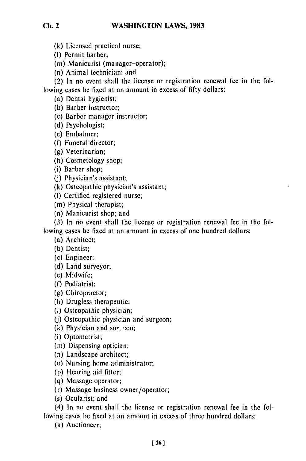**(k)** Licensed practical nurse;

**(I)** Permit barber;

(m) Manicurist (manager-operator);

(n) Animal technician; and

(2) In no event shall the license or registration renewal fee in the following cases be fixed at an amount in excess of **fifty** dollars:

(a) Dental hygienist;

(b) Barber instructor;

(c) Barber manager instructor;

(d) Psychologist;

**(c)** Embalmer;

**(f)** Funeral director;

(g) Veterinarian;

(h) Cosmetology shop;

(i) Barber shop;

(j) Physician's assistant;

(k) Osteopathic physician's assistant;

(I) Certified registered nurse;

(m) Physical therapist;

(n) Manicurist shop; and

(3) In no event shall the license or registration renewal **fee** in the following cases be fixed at an amount in excess of one hundred dollars:

(a) Architect;

(b) Dentist;

(c) Engineer;

(d) Land surveyor;

(e) Midwife;

(f) Podiatrist;

(g) Chiropractor;

(h) Drugless therapeutic;

(i) Osteopathic physician;

**(j)** Osteopathic physician and surgeon;

(k) Physician and sur,  $con;$ 

(I) Optometrist;

(m) Dispensing optician;

(n) Landscape architect;

(o) Nursing home administrator;

(p) Hearing aid fitter;

(q) Massage operator;

(r) Massage business owner/operator;

(s) Ocularist; and

(4) In no event shall the license or registration renewal fee in the following cases be fixed at an amount in excess of three hundred dollars:

(a) Auctioneer;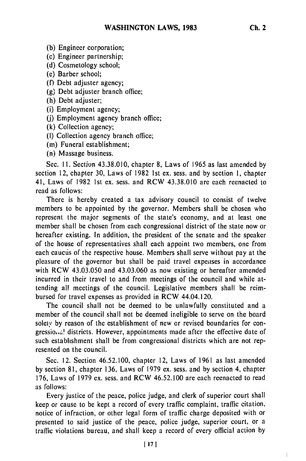**(b)** Engineer corporation;

(c) Engineer partnership;

**(d)** Cosmetology school;

(e) Barber school;

**(f)** Debt adjuster agency;

**(g)** Debt adjuster branch office;

(h) Debt adjuster;

(i) Employment agency;

(j) Employment agency branch office;

**(k)** Collection agency;

**(1)** Collection agency branch office;

(m) Funeral establishment;

(n) Massage business.

Sec. **11.** Section 43.38.010, chapter **8,** Laws of 1965 as last amended **by** section 12, chapter 30, Laws of 1982 1st ex. sess. and **by** section 1, chapter 41, Laws of **1982** 1st ex. sess. and RCW 43.38.010 are each reenacted to read as follows:

There is hereby created a tax advisory council to consist of twelve members to be appointed **by** the governor. Members shall be chosen who represent the major segments of the state's economy, and at least one member shall be chosen from each congressional district of the state now or hereafter existing. In addition, the president of the senate and the speaker of the house of representatives shall each appoint two members, one from each caucus of the respective house. Members shall serve without pay at the pleasure of the governor but shall be paid travel expenses in accordance with RCW 43.03.050 and 43.03.060 as now existing or hereafter amended incurred in their travel to and from meetings of the council and while attending all meetings of the council. Legislative members shall be reimbursed for travel expenses as provided in RCW 44.04.120.

The council shall not be deemed to be unlawfully constituted and a member of the council shall not be deemed ineligible to serve on the board soleiy **by** reason of the establishment of new or revised boundaries for congressio...<sup>1</sup> districts. However, appointments made after the effective date of such establishment shall be from congressional districts which are not represented on the council.

Sec. 12. Section 46.52.100, chapter 12, Laws of 1961 as last amended **by** section 81, chapter 136, Laws of 1979 ex. sess. and **by** section 4, chapter 176, Laws of 1979 ex. sess. and RCW 46.52.100 are each reenacted to read as follows:

Every justice of the peace, police judge, and clerk of superior court shall keep or cause to be kept a record of every traffic complaint, traffic citation, notice of infraction, or other legal form of traffic charge deposited with or presented to said justice of the peace, police judge, superior court, or a traffic violations bureau, and shall keep a record of every official action **by**

 $\mathbf{L}$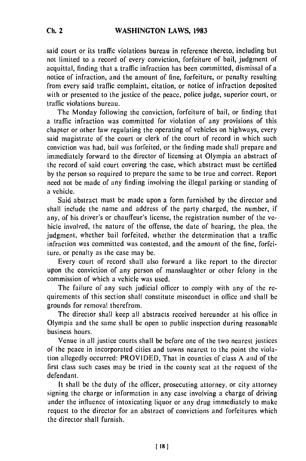said court or its traffic violations bureau in reference thereto, including but not limited to a record of every conviction, forfeiture of bail, judgment of acquittal, finding that a traffic infraction has been committed, dismissal of a notice of infraction, and the amount of fine, forfeiture, or penalty resulting from evcry said traffic complaint, citation, or notice of infraction deposited with or presented to the justice of the peace, police judge, superior court, or traffic violations bureau.

The Monday following the conviction, forfeiture of bail, or finding that a traffic infraction was committed for violation of any provisions of this chapter or other law regulating the operating of vehicles on highways, every said magistrate of the court or clerk of the court of record in which such conviction was had, bail was forfeited, or the finding made shall prepare and immediately forward to the director of licensing at Olympia an abstract of the record of said court covering the case, which abstract must be certified by the person so required to prepare the same to be true and correct. Report need not be made of any finding involving the illegal parking or standing of a vehicle.

Said abstract must be made upon a form furnished by the director and shall include the name and address of the party charged, the number, if any, of his driver's or chauffeur's license, the registration number of the vehicle involved, the nature of the offense, the date of hearing, the plea, the judgment, whether bail forfeited, whether the determination that a traffic infraction was committed was contested, and the amount of the fine, forfeiture, or penalty as the case may be.

Every court of record shall also forward a like report to the director upon the conviction of any person of manslaughter or other felony in the commission of which a vehicle was used.

The failure of any such judicial officer to comply with any of the requirements of this section shall constitute misconduct in office and shall be grounds for removal therefrom.

The director shall keep all abstracts received hereunder at his office in Olympia and the same shall be open to public inspection during reasonable business hours.

Venue in all justice courts shall be before one of the two nearest justices of the peace in incorporated cities and towns nearest to the point the violation allegedly occurred: PROVIDED, That in counties of class A and of the first class such cases may be tried in the county seat at the request of the defendant.

It shall be the duty of the officer, prosecuting attorney, or city attorney signing the charge or information in any case involving a charge of driving under the influence of intoxicating liquor or any drug immediately to make request to the director for an abstract of convictions and forfeitures which the director shall furnish.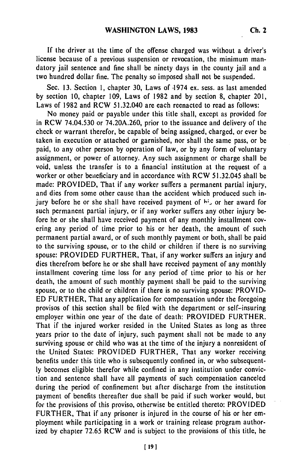If the driver at the time of the offense charged was without a driver's license because of a previous suspension or revocation, the minimum mandatory jail sentence and fine shall be ninety days in the county jail and a two hundred dollar fine. The penalty so imposed shall not be suspended.

Sec. **13.** Section **1,** chapter **30,** Laws of .1974 ex. sess. as last amended **by** section 10, chapter 109, Laws of **1982** and **by** section **8,** chapter 201, Laws of 1982 and RCW 51.32.040 are each reenacted to read as follows:

No money paid or payable under this title shall, except as provided for in RCW 74.04.530 or 74.20A.260, prior to the issuance and delivery of the check or warrant therefor, be capable of being assigned, charged, or ever be taken in execution or attached or garnished, nor shall the same pass, or be paid, to any other person by operation of law, or **by** any form of voluntary assignment, or power of attorney. Any such assignment or charge shall be void, unless the transfer is to a financial institution at the request of a worker or other beneficiary and in accordance with RCW 51.32.045 shall be made: PROVIDED, That if any worker suffers a permanent partial injury, and dies from some other cause than the accident which produced such injury before he or she shall have received payment of **6;,** or her award for such permanent partial injury, or if any worker suffers any other injury **be**fore he or she shall have received payment of any monthly installment covering any period of time prior to his or her death, the amount of such permanent partial award, or of such monthly payment or both, shall be paid to the surviving spouse, or to the child or children if there is no surviving spouse: PROVIDED FURTHER, That, if any worker suffers an injury and dies therefrom before he or she shall have received payment of any monthly installment covering time loss for any period of time prior to his or her death, the amount of such monthly payment shall be paid to the surviving spouse, or to the child or children if there is no surviving spouse: PROVID-ED FURTHER, That any application for compensation under the foregoing provisos of this section shall be filed with the department or self-insuring employer within one year of the date of death: PROVIDED FURTHER. That if the injured worker resided in the United States as long as three years prior to the date of injury, such payment shall not be made to any surviving spouse or child who was at the time of the injury a nonresident of the United States: PROVIDED FURTHER, That any worker receiving benefits under this title who is subsequently confined in, or who subsequent**ly** becomes eligible therefor while confined in any institution under conviction and sentence shall have all payments of such compensation canceled during the period of confinement but after discharge from the institution payment of benefits thereafter due shall be paid if such worker would, but for the provisions of this proviso, otherwise be entitled thereto: PROVIDED FURTHER, That if any prisoner is injured in the course of his or her employment while participating in a work or training release program authorized **by** chapter 72.65 RCW and is subject to the provisions of this title, he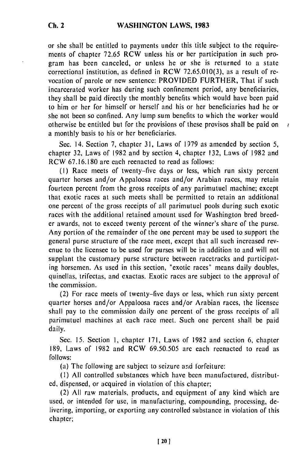or **she** shall **be** entitled to payments under this title subject to the requirements of chapter 72.65 RCW unless his or her participation in such program has been canceled, or unless he or she is returned to a state correctional institution, as defined in RCW 72.65.010(3), as a result of revocation of parole or new sentence: PROVIDED FURTHER, That if such incarcerated worker has during such confinement period, any beneficiaries, they shall be paid directly the monthly benefits which would have been paid to him or her for himself or herself and his or her beneficiaries had he or she not been so confined. Any lump sum benefits to which the worker would otherwise be entitled but for the provisions of these provisos shall be paid on a monthly basis to his or her beneficiaries.

Sec. 14. Section 7, chapter 31, Laws of 1979 as amended by section 5, chapter 32, Laws of 1982 and by section 4, chapter 132, Laws of 1982 and RCW 67.16.180 are each reenacted to read as follows:

k

**(1)** Race meets of twenty-five days or less, which run sixty percent quarter horses and/or Appaloosa races and/or Arabian races, may retain fourteen percent from the gross receipts of any parimutuel machine; except that exotic races at such meets shall be permitted to retain an additional one percent of the gross receipts of all parimutuel pools during such exotic races with the additional retained amount used for Washington bred breeder awards, not to exceed twenty percent of the winner's share of the purse. Any portion of the remainder of the one percent may be used to support the general purse structure of the race meet, except that all such increased revenue to the licensee to be used for purses will be in addition to and will not supplant the customary purse structure between racetracks and participating horsemen. As used in this section, "exotic races" means daily doubles, quinellas, trifectas, and exactas. Exotic races are subject to the approval of the commission.

(2) For race meets of twenty-five days or less, which run sixty percent quarter horses and/or Appaloosa races and/or Arabian races, the licensee shall pay to the commission daily one percent of the gross receipts of all parimutuel machines at each race meet. Such one percent shall be paid daily.

Sec. **15.** Section I, chapter 171, Laws of 1982 and section 6, chapter 189, Laws of 1982 and RCW 69.50.505 are each reenacted to read as follows:

(a) The following are subject to seizure and forfeiture:

**(1)** All controlled substances which have been manufactured, distribut**ed,** dispensed, or acquired in violation of this chapter;

(2) All raw materials, products, and equipment of any kind which are used, or intended for use, in manufacturing, compounding, processing, delivering, importing, or exporting any controlled substance in violation of this chapter;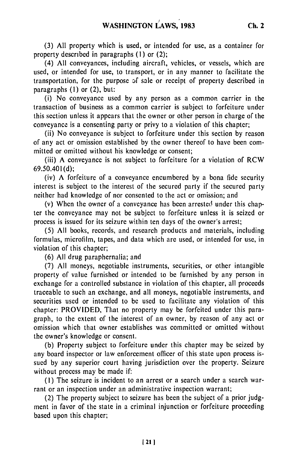**(3)** All property which is used, or intended for use, as a container for property described in paragraphs (I) or (2);

(4) All conveyances, including aircraft, vehicles, or vessels, which are used, or intended for use, to transport, or in any manner to facilitate the transportation, for the purpose of sale or receipt of property described in paragraphs (I) or (2), but:

(i) No conveyance used by any person as a common carrier in the transaction of business as a common carrier is subject to forfeiture under this section unless it appears that the owner or other person in charge of the conveyance is a consenting party or privy to a violation of this chapter;

(ii) No conveyance is subject to forfeiture under this section by reason of any act or omission established by the owner thereof to have been committed or omitted without his knowledge or consent;

(iii) A conveyance is not subject to forfeiture for a violation of RCW 69.50.401(d);

(iv) A forfeiture of a conveyance encumbered by a bona fide security interest is subject to the interest of the secured party if the secured party neither had knowledge of nor consented to the act or omission; and

(v) When the owner of a conveyance has been arrested under this chapter the conveyance may not be subject to forfeiture unless it is seized or process is issued for its seizure within ten days of the owner's arrest;

(5) All books, records, and research products and materials, including formulas, microfilm, tapes, and data which are used, or intended for use, in violation of this chapter;

(6) All drug paraphernalia; and

(7) All moneys, negotiable instruments, securities, or other intangible property of value furnished or intended to be furnished by any person in exchange for a controlled substance in violation of this chapter, all proceeds traceable to such an exchange, and all moneys, negotiable instruments, and securities used or intended to be used to facilitate any violation of this chapter: PROVIDED, That no property may be forfeited under this paragraph, to the extent of the interest of an owner, by reason of any act or omission which that owner establishes was committed or omitted without the owner's knowledge or consent.

(b) Property subject to forfeiture under this chapter may be seized by any board inspector or law enforcement officer of this state upon process issued by any superior court having jurisdiction over the property. Seizure without process may be made if:

**(I)** The seizure is incident to an arrest or a search under a search warrant or an inspection under an administrative inspection warrant;

(2) The property subject to seizure has been the subject of a prior judgment in favor of the state in a criminal injunction or forfeiture proceeding based upon this chapter;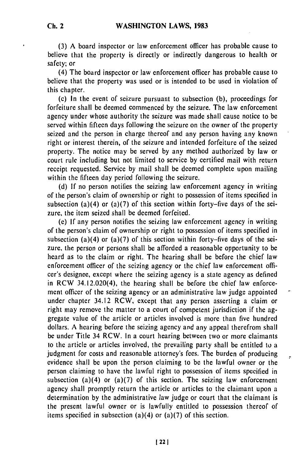(3) A board inspector or law enforcement officer has probable cause to believe that the property is directly or indirectly dangerous to health or safety; or

(4) The board inspector or law enforcement officer has probable cause to believe that the property was used or is intended to be used in violation of this chapter.

(c) In the event of seizure pursuant to subsection (b), proceedings for forfeiture shall be deemed commenced by the seizure. The law enforcement agency under whose authority the seizure was made shall cause notice to be served within fifteen days following the seizure on the owner of the property seized and the person in charge thereof and any person having any known right or interest therein, of the seizure and intended forfeiture of the seized property. The notice may be served by any method authorized by law or court rule including but not limited to service by certified mail with return receipt requested. Service by mail shall be deemed complete upon mailing within the fifteen day period following the seizure.

(d) If no person notifies the seizing law enforcement agency in writing of the person's claim of ownership or right to possession of items specified in subsection (a)(4) or (a)(7) of this section within forty-five days of the seizure, the item seized shall be deemed forfeited.

(e) If any person notifies the seizing law enforcement agency in writing of the person's claim of ownership or right to possession of items specified in subsection (a)(4) or (a)(7) of this section within forty-five days of the seizure, the person or persons shall be afforded a reasonable opportunity to be heard as to the claim or right. The hearing shall be before the chief law enforcement officer of the seizing agency or the chief law enforcement officer's designee, except where the seizing agency is a state agency as defined in RCW 34.12.020(4), the hearing shall be before the chief law enforcement officer of the seizing agency or an administrative law judge appointed under chapter 34.12 RCW, except that any person asserting a claim or right may remove the matter to a court of competent jurisdiction if the aggregate value of the article or articles involved is more than five hundred dollars. A hearing before the seizing agency and any appeal therefrom shall be under Title 34 RCW. In a court hearing between two or more claimants to the article or articles involved, the prevailing party shall be entitled to a judgment for costs and reasonable attorney's fees. The burden of producing evidence shall be upon the person claiming to be the lawful owner or the person claiming to have the lawful right to possession of items specified in subsection (a)(4) or (a)(7) of this section. The seizing law enforcement agency shall promptly return the article or articles to the claimant upon a determination by the administrative law judge or court that the claimant is the present lawful owner or is lawfully entitled to possession thereof of items specified in subsection (a)(4) or (a)(7) of this section.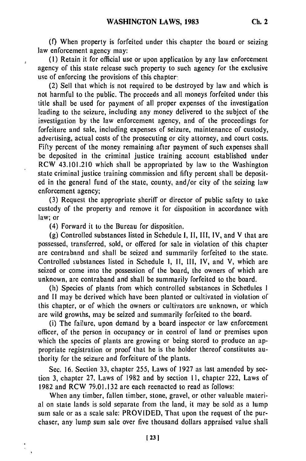**(f)** When property is forfeited under this chapter the board or seizing law enforcement agency may:

**(1)** Retain it for official use or upon application **by** any law enforcement agency of this state release such property to such agency for the exclusive use of enforcing the provisions of this chapter.

(2) Sell that which is not required to be destroyed **by** law and which is not harmful to the public. The proceeds and all moneys forfeited under this title shall be used for payment of all proper expenses of the investigation leading to the seizure, including any money delivered to the subject of the investigation **by** the law enforcement agency, and of the proceedings for forfeiture and sale, including expenses of seizure, maintenance of custody, advertising, actual costs of the prosecuting or city attorney, and court costs. Fifty percent of the money remaining after payment of such expenses shall be deposited in the criminal justice training account established under RCW 43.101.210 which shall be appropriated **by** law to the Washington state criminal justice training commission and **fifty** percent shall be deposited in the general fund of the state, county, and/or city of the seizing law enforcement agency;

**(3)** Request the appropriate sheriff or director of public safety to take custody of the property and remove it for disposition in accordance with law; or

(4) Forward it to the Bureau for disposition.

ł

(g) Controlled substances listed in Schedule **1, 11,** II1, IV, and V that are possessed, transferred, sold, or offered for sale in violation of this chapter are contraband and shall be seized and summarily forfeited to the state. Controlled substances listed in Schedule **1, 11,** 1I1, IV, and V, which are seized or come into the possession of the board, the owners of which are unknown, are contraband and shall be summarily forfeited to the board.

(h) Species of plants from which controlled substances in Schedules **I** and **11** may be derived which have been planted or cultivated in violation of this chapter, or of which the owners or cultivators are unknown, or which are wild growths, may be seized and summarily forfeited to the board.

(i) The failure, upon demand **by** a board inspector or law enforcement officer, of the person in occupancy or in control of land or premises upon which the species of plants are growing or being stored to produce an appropriate registration or proof that he is the holder thereof constitutes authority for the seizure and forfeiture of the plants.

Sec. 16. Section 33, chapter 255, Laws of **1927** as last amended **by** section **3,** chapter 27, Laws of 1982 and **by** section **1,** chapter 222, Laws of 1982 and RCW 79.01.132 are each reenacted to read as follows:

When any timber, fallen timber, stone, gravel, or other valuable material on state lands is sold separate from the land, it may be sold as a lump sum sale or as a scale sale: PROVIDED, That upon the request of the purchaser, any lump sum sale over five thousand dollars appraised value shall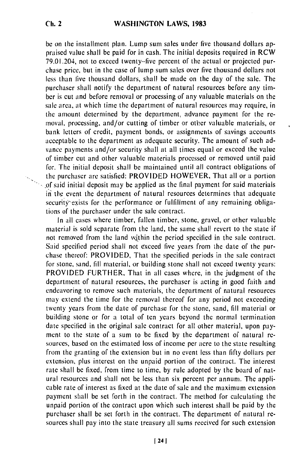be on the installment plan. Lump sum sales under five thousand dollars appraised value shall be paid for in cash. The initial deposits required in RCW 79.01.204, not to exceed twenty-five percent of the actual or projected purchase price, but in the case of lump sum sales over five thousand dollars not less than five thousand dollars, shall be made on the day of the sale. The purchaser shall notify the department of natural resources before any timber is cut and before removal or processing of any valuable materials on the sale area, at which time the department of natural resources may require, in the amount determined by the department, advance payment for the removal, processing, and/or cutting of timber or other valuable materials, or bank letters of credit, payment bonds, or assignments of savings accounts acceptable to the department as adequate security. The amount of such advance payments and/or security shall at all times equal or exceed the value of timber cut and other valuable materials processed or removed until paid for. The initial deposit shall be maintained until all contract obligations of the purchaser are satisfied: PROVIDED HOWEVER, That all or a portion  $\sim$  of said initial deposit may be applied as the final payment for said materials  $\hat{n}$  the event the department of natural resources determines that adequate security exists for the performance or fulfillment of any remaining obligations of the purchaser under the sale contract.

In all cases where timber, fallen timber, stone, gravel, or other valuable material is sold separate from the land, the same shall revert to the state if not removed from the land within the period specified in the sale contract. Said specified period shall not exceed five years from the date of the purchase thereof: PROVIDED, That the specified periods in the sale contract for stone, sand, fill material, or building stone shall not exceed twenty years: PROVIDED FURTHER, That in all cases where, in the judgment of the department of natural resources, the purchaser is acting in good faith and endeavoring to remove such materials, the department of natural resources may extend the time for the removal thereof for any period not exceeding twenty years from the date of purchase for the stone, sand, fill material or building stone or for a total of ten years beyond the normal termination date specified in the original sale contract for all other material, upon payment to the state of a sum to be fixed by the department of natural resources, based on the estimated loss of income per acre to the state resulting from the granting of the extension but in no event less than fifty dollars per extension, plus interest on the unpaid portion of the contract. The interest rate shall be fixed, from time to time, by rule adopted by the board of natural resources and shall not be less than six percent per annum. The applicable rate of interest as fixed at the date of sale and the maximum extension payment shall be set forth in the contract. The method for calculating the unpaid portion of the contract upon which such interest shall be paid by the purchaser shall be set forth in the contract. The department of natural resources shall pay into the state treasury all sums received for such extension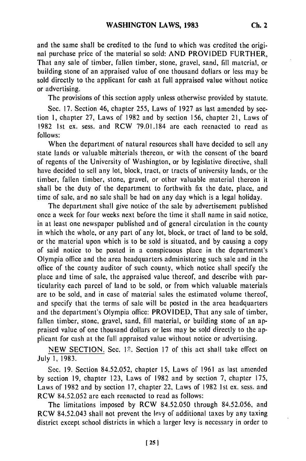and the same shall be credited to the fund to which was credited the original purchase price of the material so sold: AND PROVIDED FURTHER, That any sale of timber, fallen timber, stone, gravel, sand, fill material, or building stone of an appraised value of one thousand dollars or less may be sold directly to the applicant for cash at full appraised value without notice or advertising.

The provisions of this section apply unless otherwise provided by statute.

Sec. 17. Section 46, chapter 255, Laws of 1927 as last amended by section **1,** chapter 27, Laws of 1982 and by section 156, chapter 21, Laws of 1982 1st ex. sess. and RCW 79.01.184 are each reenacted to read as follows:

When the department of natural resources shall have decided to sell any state lands or valuable materials thereon, or with the consent of the board of regents of the University of Washington, or by legislative directive, shall have decided to sell any lot, block, tract, or tracts of university lands, or the timber, fallen timber, stone, gravel, or other valuable material thereon it shall be the duty of the department to forthwith fix the date, place, and time of sale, and no sale shall be had on any day which is a legal holiday.

The department shall give notice of the sale by advertisement published once a week for four weeks next before the time it shall name in said notice, in at least one newspaper published and of general circulation in the county in which the whole, or any part of any lot, block, or tract of land to be sold, or the material upon which is to be sold is situated, and by causing a copy of said notice to be posted in a conspicuous place in the department's Olympia office and the area headquarters administering such sale and in the office of the county auditor of such county, which notice shall specify the place and time of sale, the appraised value thereof, and describe with particularity each parcel of land to be sold, or from which valuable materials are to be sold, and in case of material sales the estimated volume thereof, and specify that the terms of sale will be posted in the area headquarters and the department's Olympia office: PROVIDED, That any sale of timber, fallen timber, stone, gravel, sand, fill material, or building stone of an appraised value of one thousand dollars or less may be sold directly to the applicant for cash at the full appraised value without notice or advertising.

NEW SECTION. Sec. 12. Section 17 of this act shall take effect on July **1,** 1983.

Sec. 19. Section 84.52.052, chapter 15, Laws of 1961 as last amended by section **19,** chapter 123, Laws of 1982 and by section 7, chapter 175, Laws of 1982 and by section 17, chapter 22, Laws of 1982 Ist ex. sess. and RCW 84.52.052 are each reenacted to read as follows:

The limitations imposed by RCW 84.52.050 through 84.52.056, and RCW 84.52.043 shall not prevent the levy of additional taxes by any taxing district except school districts in which a larger levy is necessary in order to

**1251**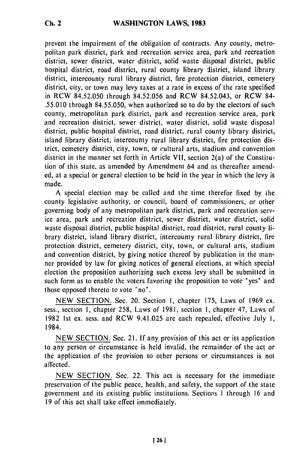# **WASHINGTON LAWS, 1983**

prevent the impairment of the obligation of contracts. Any county, metropolitan park district, park and recreation service area, park and recreation district, sewer district, water district, solid waste disposal district, public hospital district, road district, rural county library district, island library district, intercounty rural library district, fire protection district, cemetery district, city, or town may levy taxes at a rate in excess of the rate specified in RCW 84.52.050 through 84.52.056 and RCW 84.52.043, or RCW 84- .55.010 through 84.55.050, when authorized so to do by the electors of such county, metropolitan park district, park and recreation service area, park and recreation district, sewer district, water district, solid waste disposal district, public hospital district, road district, rural county library district, island library district, intercounty rural library district, fire protection district, cemetery district, city, town, or cultural arts, stadium and convention district in the manner set forth in Article VII, section 2(a) of the Constitution of this state, as amended by Amendment 64 and as thereafter amended, at a special or general election to be held in the year in which the levy is made.

A special election may be called and the time therefor fixed by the county legislative authority, or council, board of commissioners, or other governing body of any metropolitan park district, park and recreation service area, park and recreation district, sewer district, water district, solid waste disposal district, public hospital district, road district, rural county library district, island library district, intercounty rural library district, fire protection district, cemetery district, city, town, or cultural arts, stadium and convention district, by giving notice thereof by publication in the manner provided by law for giving notices of general elections, at which special election the proposition authorizing such excess levy shall be submitted in such form as to enable the voters favoring the proposition to vote "yes" and those opposed thereto to vote "no".

NEW SECTION. Sec. 20. Section 1, chapter 175, Laws of 1969 ex. sess., section 1, chapter 258, Laws of 1981, section **1,** chapter 47, Laws of 1982 1st ex. sess. and RCW 9.41.025 are each repealed, effective July **1,** 1984.

NEW SECTION. Sec. 21. If any provision of this act or its application to any person or circumstance is held invalid, the remainder of the act or the application of the provision to other persons or circumstances is not affected.

NEW SECTION. Sec. 22. This act is necessary for the immediate preservation of the public peace, health, and safety, the support of the state government and its existing public institutions. Sectiops **I** through 16 and 19 of this act shall take effect immediately.

**Ch. 2**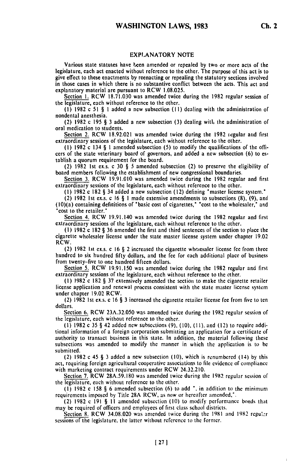#### EXPLANATORY **NOTE**

Various state statutes have been amended or repealed **by** two or more acts of the legislature, each act enacted without reference to the other. The purpose **of** this act is to give effect to these enactments **by** reenacting or repealing the statutory sections involved in those cases in which there is no substantive conflict between the acts. This act and explanatory material are pursuant to RCW **1.08.025.**

Scction **1.** RCW **18.71.030** was amended twice during the **1982** regular session of the legislature, each without reference to the other.

**(1) 1982** c **51** § I added a new subsection **(II)** dealing with the administration of nondental anesthesia.

(2) 1982 c 195 § **3** added a new subsection (3) dealing witl, the administration of oral medication to students.

Section 2. RCW 18.92.021 was amended twice during the **1982** iegular and first extraordinary sessions of the legislature, each without reference to the other.

**(1)** 1982 c 134 § I amended subsection (5) to modify the qualifications of the offi cers of the state veterinary board of governors, and added a new subsection (6) to establish a quorum requirement for the board.

(2) 1982 Ist exs. c **30** § 5 amended subsection (2) to preserve the eligibility of board members following the establishment of new congressional boundaries,

Section 3. RCW **19.91.010** was amended twice during the 1982 regular and first extraordinary sessions of the legislature, each without reference to the other. **(1) 1982** c **182** § 34 added a new subsection (12) defining 'master license system.'

(2) 1982 **Ist** ex.s. c **16** § **I** made extensive amendments to subsections **(8), (9),** and

(2) 1502 1st ex.s. C 10  $\frac{9}{3}$  1 made extensive amendments to subsections (6), (5), and (10)(a) containing definitions of "basic cost of cigarettes," "cost to the wholesaler," and Section 4. RCW 19.91.140 was amended twice during the 1982 regular and first

extraordinary sessions of the legislature, each without reference to the other.

**(1)** 1982 c 182 § **36** amended the first and third sentences of the section to place the cigarette wholesaler license under the state master license system under chapter 19.02 RCW.

(2) 1982 Ist ex.s. c 16 § 2 increased the cigarette whcresaler license fee from three hundred to six hundred fifty dollars, and the fee for each additional place of business from twenty-five to one hundred fifteen dollars. Section 5. RCW 19.91.150 was amended twice during the 1982 regular and first

extribit 5. KCW 17.71.150 was allienced twice during the 1702 regularity of the other. extraordinary sessions of the legislature, each without reference to the other.<br>(1) 1982 c 182 § 37 extensively amended the section to make the cigarette retailer

license application and renewal process consistent with the state master license system under chapter 19.02 RCW.

(2) 1982 Ist ex.s. c 16 § 3 increased the cigarette retailer license fee from five to ten dollars. Section 6. RCW 23A.32.050 was amended twice during the 1982 regular session of

the legislature, each without reference to the other. **(1)** 1982 c 35 § 42 added new subsections **(9),** (10), **(I1),** and (12) to require addi-

(1) 1962 C 33 g 42 added new subsections (9), (10), (11), and (12) to require addi-<br>tional information of a foreign corporation submitting an application for a certificate of tional information of a foreign corporation submitting an application for a certificate of authority to transact business in this state. In addition, the material following these subsections was amended to modify the manner in which the application is to **be** submitted.

(2) 1982 c 45 § **3** added a new subsection (10), which is renumbered (14) **by** this act, requiring foreign agricultural cooperative associations to **file** evidence of compliance act, requiring foreign agricultural cooperative associations to r with marketing contract requirements under RCW 24.32.210.<br>Section 7. RCW 28A.59.180 was amended twice during the 1982 regular session of

the legislature, each without reference to the other.

**(I)** 1982 c **158** § 6 amended subsection **(6)** to add **",** in addition to the minimum requirements imposed by Title 28A RCW, as now or hereafter amended.<sup>1</sup>.<br>(2) 1982 c 190 § **II II 28A RCW**, as now or hereafter amended.<sup>1</sup>.

(2) 1982 c 191 § 11 amended subsection (10) to modify performance bonds that may be required of officers and employees of first class school districts. Section 8. Required 61 OHICETS and employees 61 htst class school districts.<br>Section 8. RCW 34.08.020 was amended twice during the 1981 and 1982 regular

SECTION OF INC. W. 34.00.020 was allenged twice during the 120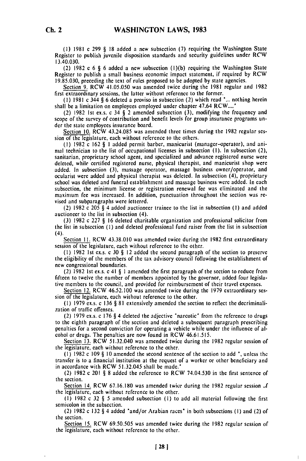**(1) 1981** c **299** § **18** added a new subscction **(7)** requiring the Washington State Register to publish juvenile disposition standards and security guidelines under RCW 13.40.030.

(2) **1982** c **6 § 6** added a new subsection **(1)(b)** requiring the Washington State Register to publish a small business economic impact statement, if required **by** RCW **19.85.030,** preceding the text of rules proposed to be adopted **by** state agencies.

Section **9.** RCW 41.05.050 was amended twice during the **1981** regular and **1982** first extraordinary sessions, the latter without reference to the former.

**(1) 1981** c 344 **§ 6** deleted a proviso in subsection (2) which read **"...** nothing herein shall **be** a limitation on employees employed under chapter 47.64 RCW...."

(2) **1982 Ist** ex.s. c 34 **§** 2 amended subsection **(3),** modifying the frequency and scope of the survey of contribution and benefit levels for group insurance programs **un**der the state employees insurance board.

Section **10.** RCW 43.24.085 was amended three times during the **1982** regular session of the legislature, each without reference to the others.

**(I) 1982** c **162 § I** added permit barber, manicurist (manager-operator), and animal technician to the list of occupational licenses in subsection **(I).** In subsection (2), sanitarian, proprietary school agent, and specialized and advance registered nurse were deleted, while certified registered nurse, physical therapist, and manicurist shop were added. In subsection **(3),** massage operator, massage business owner/operator, and ocularist were added and physical therapist was deleted. In subsection (4), proprietary school was deleted and funeral establishment and massage business were added. In each subsection, the minimum license or registration renewal fee was eliminated and the maximum **fee** was increased. In addition, punctuation throughout the section was revised and subparagraphs were lettered.

(2) **1982** c 205 **§** 4 added auctioneer trainee to the list in subsection **(I)** and added auctioneer to the list in subsection (4).

**(3) 1982** c **227 § 16** deleted charitable organization and professional solicitor from the list in subsection **(I)** and deleted professional fund raiser from the list in subsection (4).

Section **11.** RCW **43.38.010** was amended twice during the **1982** first extraordinary session of the legislature, each without reference to the other.

**(1) 1982 1st** ex.s. c **30 § 12** added the second paragraph of the section to preserve the eligibility of the members of the tax advisory council following the establishment of new congressional boundaries.

(2) 1982 1st ex.s. c 41 **§ I** amended the first paragraph of the section to reduce from fifteen to twelve the number of members appointed by the governor, added four legislafifteen to twelve the number of members appointed by the governor, added four legislative members to the council, and provided for reimbursement of their travel expenses.

Section 12. RCW 46.52.100 was amended twice during the 1979 extraordinary session of the legislature, each without reference to the other.

**(I)** 1979 ex.s. c 136 **§** 81 extensively amended the section to reflect the decriminalization of traffic offenses.

(2) 1979 ex.s. c 176 **§** 4 deleted the adjective 'narcotic' from the reference to drugs  $t_{\alpha}$  to the eighth paragraph of the section and deleted a subsequent paragraph prescribing penalties for a second conviction for operating a vehicle while under the influence of alpenalties for a second conviction for operating a vehicle while under the influence of alcohol or drugs. The penalties are now found in RCW 46.61.515.

Section 13. RCW 51.32.040 was amended twice during the 1982 regular session of the legislature, each without reference to the other.

**(I)** 1982 c 109 **§** 10 amended the second sentence of the section to add *,* unless the transfer is to a financial institution at the request of a worker or other beneficiary and in accordance with RCW 51.32,045 shall be made."

(2) 1982 c 201 **§** 8 added the reference to RCW 74.04.530 in the first sentence of the section.

Section 14. RCW 67.16.180 was amended twice during the 1982 regular session **f** the legislature, each without reference to the other.

**(I)** 1982 c 32 **§** 5 amended subsection **(I)** to add all material following the first semicolon in the subsection.

(2) 1982 c 132 **§** 4 added "and/or Arabian races' in both subsections **(I)** and (2) of the section. Section **15.** RCW 69.50.505 was amended twice during the 1982 regular session of

**EXCHION 12. KC W. 02.20.202 was alliented twick** 

 $\mathbf{I}$